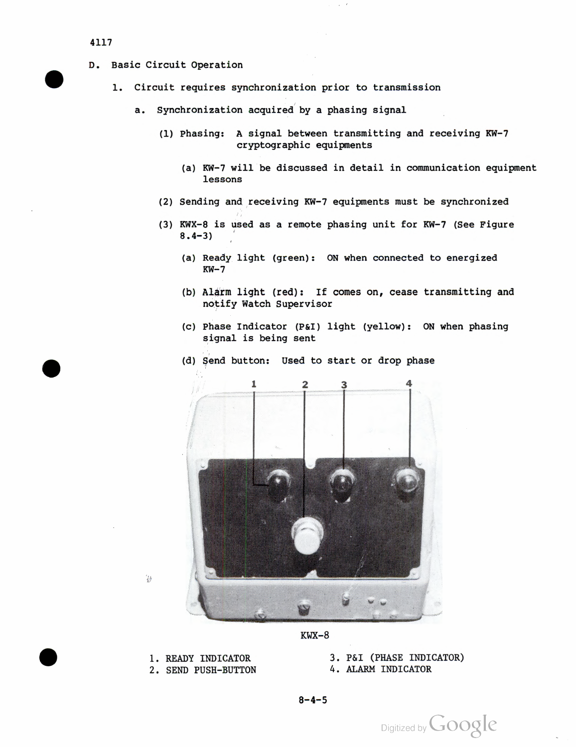## 4117

- D. Basic Circuit Operation
	- 1. Circuit requires synchronization prior to transmission
		- a. Synchronization acquired by a phasing signal
			- (1) Phasing: A signal between transmitting and receiving KW-7 cryptographic equipments
				- (a) KW-7 will be discussed in detail in communication equipment lessons
			- (2) Sending and receiving KW-7 equipments must be synchronized
			- (3) KWX-8 is used as a remote phasing unit for KW-7 (See Figure 8.4-3)
				- (a) Ready light (green): ON when connected to energized  $KW-7$
				- (b) Alarm light (red) : If comes on, cease transmitting and notify Watch Supervisor
				- (c) Phase Indicator (P&I) light (yellow): ON when phasing signal is being sent



(d) Send button: Used to start or drop phase

 $\frac{1}{2}$ 

2. SEND PUSH-BUTTON 4. ALARM INDICATOR

1. READY INDICATOR 3. P&I (PHASE INDICATOR)

 $8 - 4 - 5$ 

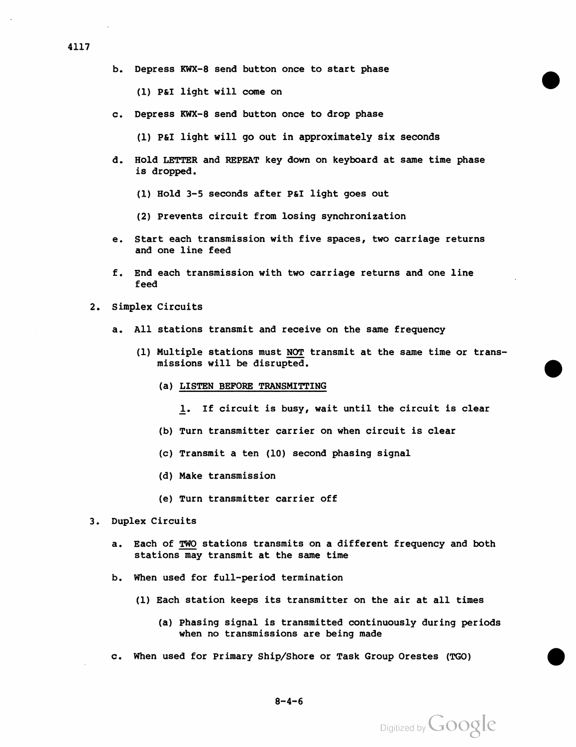b. Depress KWX-8 send button once to start phase

(1) P&I light will come on

c. Depress KWX-8 send button once to drop phase

(1) P&I light will go out in approximately six seconds

- d. Hold LETTER and REPEAT key down on keyboard at same time phase is dropped.
	- (1) Hold 3-5 seconds after P&I light goes out
	- (2) Prevents circuit from losing synchronization
- e. Start each transmission with five spaces, two carriage returns and one line feed
- f . End each transmission with two carriage returns and one line feed
- 2. Simplex Circuits
	- a. All stations transmit and receive on the same frequency
		- (1) Multiple stations must NOT transmit at the same time or trans missions will be disrupted.
			- (a) LISTEN BEFORE TRANSMITTING

JL. If circuit is busy, wait until the circuit is clear

- (b) Turn transmitter carrier on when circuit is clear
- (c) Transmit a ten (10) second phasing signal
- (d) Make transmission
- (e) Turn transmitter carrier off
- 3. Duplex Circuits
	- a. Each of TWO stations transmits on a different frequency and both stations may transmit at the same time
	- b. When used for full-period termination
		- (1) Each station keeps its transmitter on the air at all times
			- (a) Phasing signal is transmitted continuously during periods when no transmissions are being made
	- c. When used for Primary Ship/Shore or Task Group Orestes (TGO)